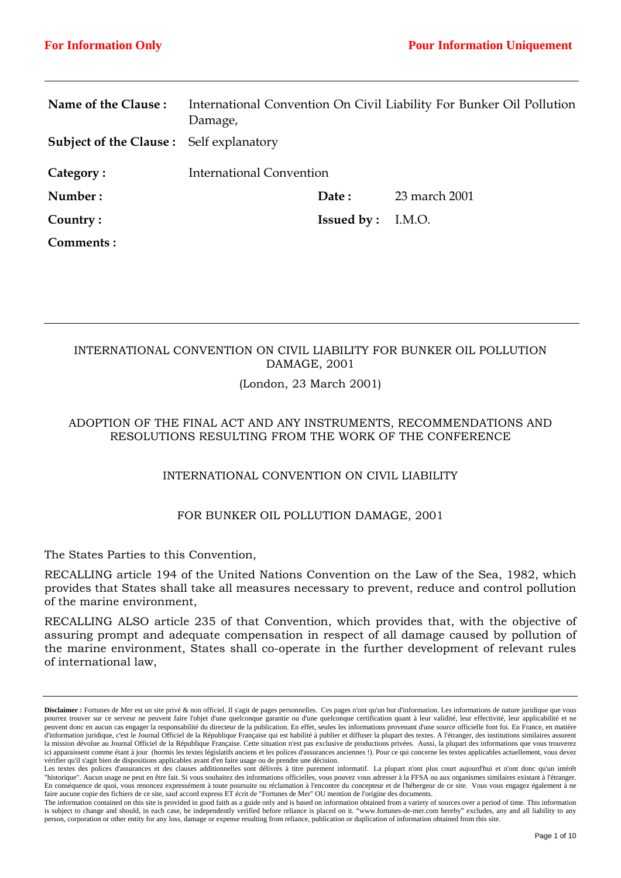| Name of the Clause:                            | Damage,                         |                   | International Convention On Civil Liability For Bunker Oil Pollution |
|------------------------------------------------|---------------------------------|-------------------|----------------------------------------------------------------------|
| <b>Subject of the Clause:</b> Self explanatory |                                 |                   |                                                                      |
| Category:                                      | <b>International Convention</b> |                   |                                                                      |
| Number:                                        |                                 | Date:             | 23 march 2001                                                        |
| Country:                                       |                                 | <b>Issued by:</b> | I.M.O.                                                               |
| Comments:                                      |                                 |                   |                                                                      |

# INTERNATIONAL CONVENTION ON CIVIL LIABILITY FOR BUNKER OIL POLLUTION DAMAGE, 2001

(London, 23 March 2001)

# ADOPTION OF THE FINAL ACT AND ANY INSTRUMENTS, RECOMMENDATIONS AND RESOLUTIONS RESULTING FROM THE WORK OF THE CONFERENCE

# INTERNATIONAL CONVENTION ON CIVIL LIABILITY

# FOR BUNKER OIL POLLUTION DAMAGE, 2001

The States Parties to this Convention,

RECALLING article 194 of the United Nations Convention on the Law of the Sea, 1982, which provides that States shall take all measures necessary to prevent, reduce and control pollution of the marine environment,

RECALLING ALSO article 235 of that Convention, which provides that, with the objective of assuring prompt and adequate compensation in respect of all damage caused by pollution of the marine environment, States shall co-operate in the further development of relevant rules of international law,

**Disclaimer :** Fortunes de Mer est un site privé & non officiel. Il s'agit de pages personnelles. Ces pages n'ont qu'un but d'information. Les informations de nature juridique que vous pourrez trouver sur ce serveur ne peuvent faire l'objet d'une quelconque garantie ou d'une quelconque certification quant à leur validité, leur effectivité, leur applicabilité et ne peuvent donc en aucun cas engager la responsabilité du directeur de la publication. En effet, seules les informations provenant d'une source officielle font foi. En France, en matière d'information juridique, c'est le Journal Officiel de la République Française qui est habilité à publier et diffuser la plupart des textes. A l'étranger, des institutions similaires assurent la mission dévolue au Journal Officiel de la République Française. Cette situation n'est pas exclusive de productions privées. Aussi, la plupart des informations que vous trouverez ici apparaissent comme étant à jour (hormis les textes législatifs anciens et les polices d'assurances anciennes !). Pour ce qui concerne les textes applicables actuellement, vous devez vérifier qu'il s'agit bien de dispositions applicables avant d'en faire usage ou de prendre une décision.

Les textes des polices d'assurances et des clauses additionnelles sont délivrés à titre purement informatif. La plupart n'ont plus court aujourd'hui et n'ont donc qu'un intérêt "historique". Aucun usage ne peut en être fait. Si vous souhaitez des informations officielles, vous pouvez vous adresser à la FFSA ou aux organismes similaires existant à l'étranger. En conséquence de quoi, vous renoncez expressément à toute poursuite ou réclamation à l'encontre du concepteur et de l'hébergeur de ce site. Vous vous engagez également à ne faire aucune copie des fichiers de ce site, sauf accord express ET écrit de "Fortunes de Mer" OU mention de l'origine des documents.

The information contained on this site is provided in good faith as a guide only and is based on information obtained from a variety of sources over a period of time. This information is subject to change and should, in each case, be independently verified before reliance is placed on it. "www.fortunes-de-mer.com hereby" excludes, any and all liability to any person, corporation or other entity for any loss, damage or expense resulting from reliance, publication or duplication of information obtained from this site.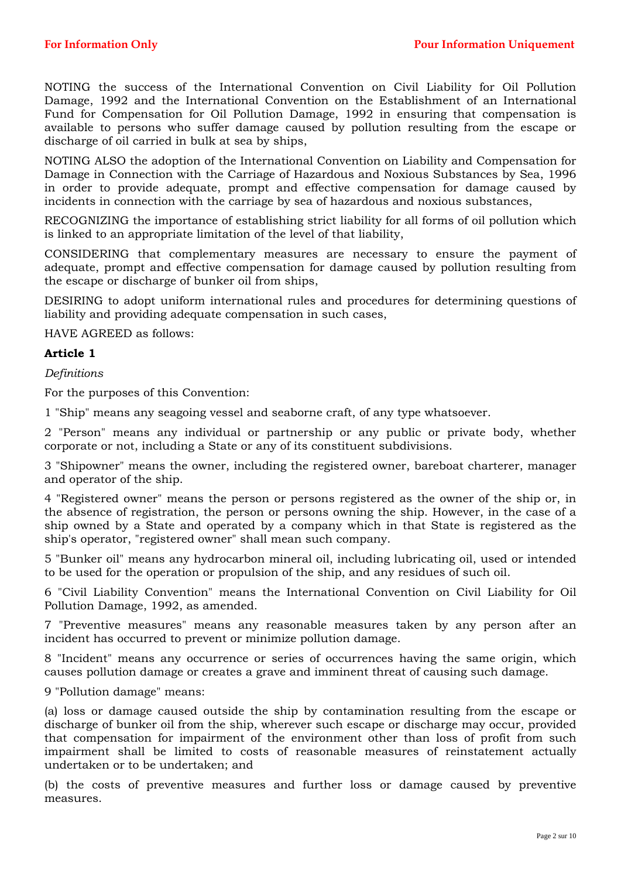NOTING the success of the International Convention on Civil Liability for Oil Pollution Damage, 1992 and the International Convention on the Establishment of an International Fund for Compensation for Oil Pollution Damage, 1992 in ensuring that compensation is available to persons who suffer damage caused by pollution resulting from the escape or discharge of oil carried in bulk at sea by ships,

NOTING ALSO the adoption of the International Convention on Liability and Compensation for Damage in Connection with the Carriage of Hazardous and Noxious Substances by Sea, 1996 in order to provide adequate, prompt and effective compensation for damage caused by incidents in connection with the carriage by sea of hazardous and noxious substances,

RECOGNIZING the importance of establishing strict liability for all forms of oil pollution which is linked to an appropriate limitation of the level of that liability,

CONSIDERING that complementary measures are necessary to ensure the payment of adequate, prompt and effective compensation for damage caused by pollution resulting from the escape or discharge of bunker oil from ships,

DESIRING to adopt uniform international rules and procedures for determining questions of liability and providing adequate compensation in such cases,

HAVE AGREED as follows:

# **Article 1**

## *Definitions*

For the purposes of this Convention:

1 "Ship" means any seagoing vessel and seaborne craft, of any type whatsoever.

2 "Person" means any individual or partnership or any public or private body, whether corporate or not, including a State or any of its constituent subdivisions.

3 "Shipowner" means the owner, including the registered owner, bareboat charterer, manager and operator of the ship.

4 "Registered owner" means the person or persons registered as the owner of the ship or, in the absence of registration, the person or persons owning the ship. However, in the case of a ship owned by a State and operated by a company which in that State is registered as the ship's operator, "registered owner" shall mean such company.

5 "Bunker oil" means any hydrocarbon mineral oil, including lubricating oil, used or intended to be used for the operation or propulsion of the ship, and any residues of such oil.

6 "Civil Liability Convention" means the International Convention on Civil Liability for Oil Pollution Damage, 1992, as amended.

7 "Preventive measures" means any reasonable measures taken by any person after an incident has occurred to prevent or minimize pollution damage.

8 "Incident" means any occurrence or series of occurrences having the same origin, which causes pollution damage or creates a grave and imminent threat of causing such damage.

9 "Pollution damage" means:

(a) loss or damage caused outside the ship by contamination resulting from the escape or discharge of bunker oil from the ship, wherever such escape or discharge may occur, provided that compensation for impairment of the environment other than loss of profit from such impairment shall be limited to costs of reasonable measures of reinstatement actually undertaken or to be undertaken; and

(b) the costs of preventive measures and further loss or damage caused by preventive measures.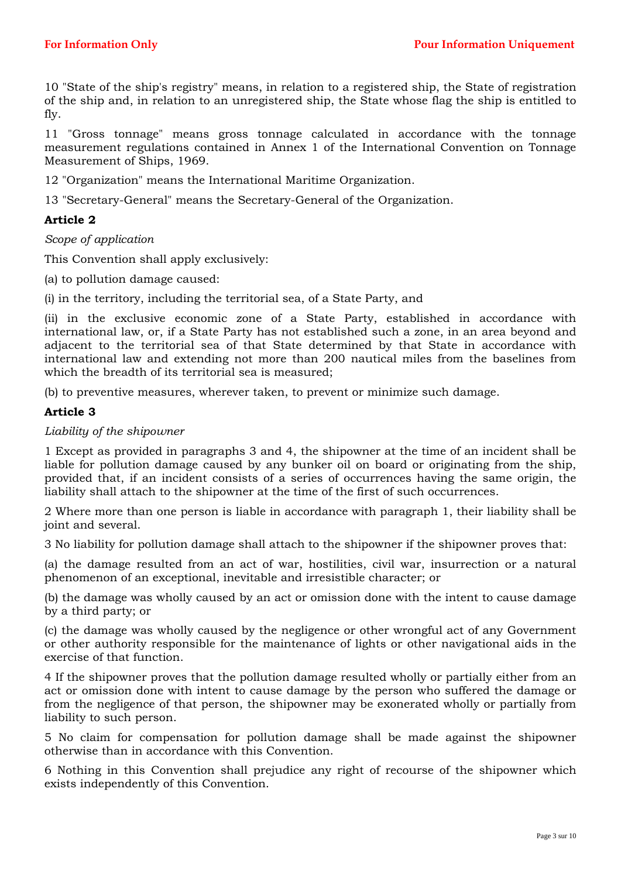10 "State of the ship's registry" means, in relation to a registered ship, the State of registration of the ship and, in relation to an unregistered ship, the State whose flag the ship is entitled to fly.

11 "Gross tonnage" means gross tonnage calculated in accordance with the tonnage measurement regulations contained in Annex 1 of the International Convention on Tonnage Measurement of Ships, 1969.

12 "Organization" means the International Maritime Organization.

13 "Secretary-General" means the Secretary-General of the Organization.

# **Article 2**

*Scope of application* 

This Convention shall apply exclusively:

(a) to pollution damage caused:

(i) in the territory, including the territorial sea, of a State Party, and

(ii) in the exclusive economic zone of a State Party, established in accordance with international law, or, if a State Party has not established such a zone, in an area beyond and adjacent to the territorial sea of that State determined by that State in accordance with international law and extending not more than 200 nautical miles from the baselines from which the breadth of its territorial sea is measured;

(b) to preventive measures, wherever taken, to prevent or minimize such damage.

# **Article 3**

## *Liability of the shipowner*

1 Except as provided in paragraphs 3 and 4, the shipowner at the time of an incident shall be liable for pollution damage caused by any bunker oil on board or originating from the ship, provided that, if an incident consists of a series of occurrences having the same origin, the liability shall attach to the shipowner at the time of the first of such occurrences.

2 Where more than one person is liable in accordance with paragraph 1, their liability shall be joint and several.

3 No liability for pollution damage shall attach to the shipowner if the shipowner proves that:

(a) the damage resulted from an act of war, hostilities, civil war, insurrection or a natural phenomenon of an exceptional, inevitable and irresistible character; or

(b) the damage was wholly caused by an act or omission done with the intent to cause damage by a third party; or

(c) the damage was wholly caused by the negligence or other wrongful act of any Government or other authority responsible for the maintenance of lights or other navigational aids in the exercise of that function.

4 If the shipowner proves that the pollution damage resulted wholly or partially either from an act or omission done with intent to cause damage by the person who suffered the damage or from the negligence of that person, the shipowner may be exonerated wholly or partially from liability to such person.

5 No claim for compensation for pollution damage shall be made against the shipowner otherwise than in accordance with this Convention.

6 Nothing in this Convention shall prejudice any right of recourse of the shipowner which exists independently of this Convention.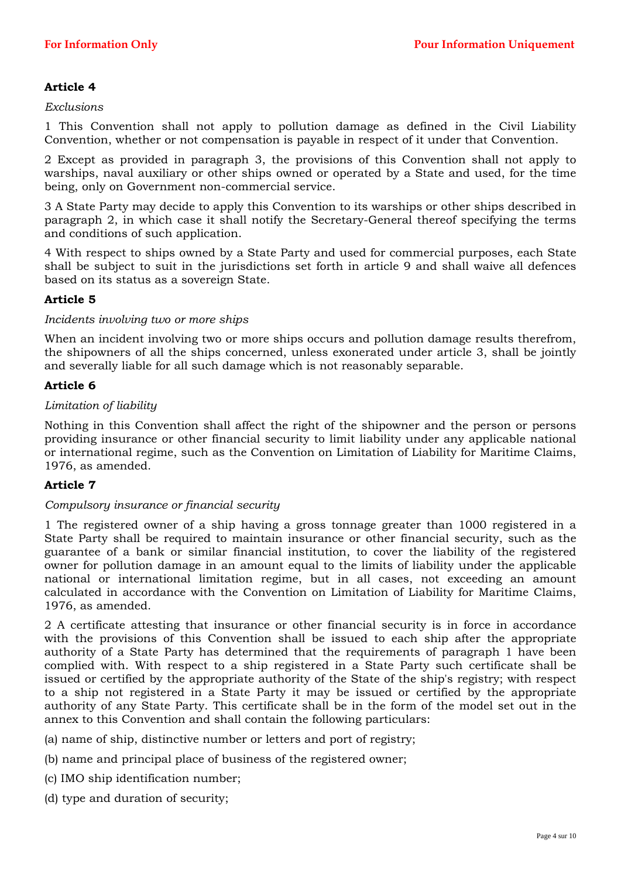## **Article 4**

*Exclusions* 

1 This Convention shall not apply to pollution damage as defined in the Civil Liability Convention, whether or not compensation is payable in respect of it under that Convention.

2 Except as provided in paragraph 3, the provisions of this Convention shall not apply to warships, naval auxiliary or other ships owned or operated by a State and used, for the time being, only on Government non-commercial service.

3 A State Party may decide to apply this Convention to its warships or other ships described in paragraph 2, in which case it shall notify the Secretary-General thereof specifying the terms and conditions of such application.

4 With respect to ships owned by a State Party and used for commercial purposes, each State shall be subject to suit in the jurisdictions set forth in article 9 and shall waive all defences based on its status as a sovereign State.

# **Article 5**

*Incidents involving two or more ships* 

When an incident involving two or more ships occurs and pollution damage results therefrom, the shipowners of all the ships concerned, unless exonerated under article 3, shall be jointly and severally liable for all such damage which is not reasonably separable.

## **Article 6**

### *Limitation of liability*

Nothing in this Convention shall affect the right of the shipowner and the person or persons providing insurance or other financial security to limit liability under any applicable national or international regime, such as the Convention on Limitation of Liability for Maritime Claims, 1976, as amended.

# **Article 7**

### *Compulsory insurance or financial security*

1 The registered owner of a ship having a gross tonnage greater than 1000 registered in a State Party shall be required to maintain insurance or other financial security, such as the guarantee of a bank or similar financial institution, to cover the liability of the registered owner for pollution damage in an amount equal to the limits of liability under the applicable national or international limitation regime, but in all cases, not exceeding an amount calculated in accordance with the Convention on Limitation of Liability for Maritime Claims, 1976, as amended.

2 A certificate attesting that insurance or other financial security is in force in accordance with the provisions of this Convention shall be issued to each ship after the appropriate authority of a State Party has determined that the requirements of paragraph 1 have been complied with. With respect to a ship registered in a State Party such certificate shall be issued or certified by the appropriate authority of the State of the ship's registry; with respect to a ship not registered in a State Party it may be issued or certified by the appropriate authority of any State Party. This certificate shall be in the form of the model set out in the annex to this Convention and shall contain the following particulars:

- (a) name of ship, distinctive number or letters and port of registry;
- (b) name and principal place of business of the registered owner;
- (c) IMO ship identification number;
- (d) type and duration of security;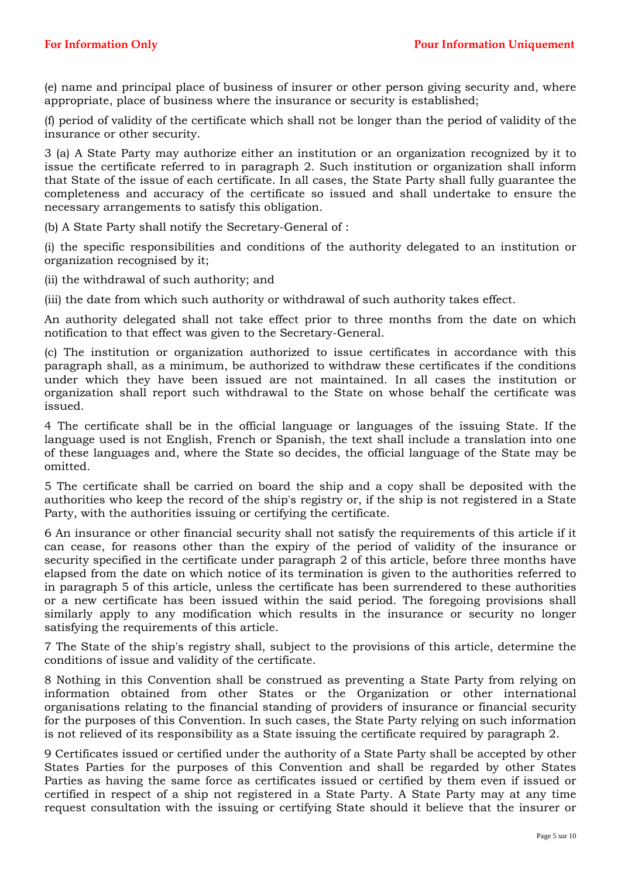(e) name and principal place of business of insurer or other person giving security and, where appropriate, place of business where the insurance or security is established;

(f) period of validity of the certificate which shall not be longer than the period of validity of the insurance or other security.

3 (a) A State Party may authorize either an institution or an organization recognized by it to issue the certificate referred to in paragraph 2. Such institution or organization shall inform that State of the issue of each certificate. In all cases, the State Party shall fully guarantee the completeness and accuracy of the certificate so issued and shall undertake to ensure the necessary arrangements to satisfy this obligation.

(b) A State Party shall notify the Secretary-General of :

(i) the specific responsibilities and conditions of the authority delegated to an institution or organization recognised by it;

(ii) the withdrawal of such authority; and

(iii) the date from which such authority or withdrawal of such authority takes effect.

An authority delegated shall not take effect prior to three months from the date on which notification to that effect was given to the Secretary-General.

(c) The institution or organization authorized to issue certificates in accordance with this paragraph shall, as a minimum, be authorized to withdraw these certificates if the conditions under which they have been issued are not maintained. In all cases the institution or organization shall report such withdrawal to the State on whose behalf the certificate was issued.

4 The certificate shall be in the official language or languages of the issuing State. If the language used is not English, French or Spanish, the text shall include a translation into one of these languages and, where the State so decides, the official language of the State may be omitted.

5 The certificate shall be carried on board the ship and a copy shall be deposited with the authorities who keep the record of the ship's registry or, if the ship is not registered in a State Party, with the authorities issuing or certifying the certificate.

6 An insurance or other financial security shall not satisfy the requirements of this article if it can cease, for reasons other than the expiry of the period of validity of the insurance or security specified in the certificate under paragraph 2 of this article, before three months have elapsed from the date on which notice of its termination is given to the authorities referred to in paragraph 5 of this article, unless the certificate has been surrendered to these authorities or a new certificate has been issued within the said period. The foregoing provisions shall similarly apply to any modification which results in the insurance or security no longer satisfying the requirements of this article.

7 The State of the ship's registry shall, subject to the provisions of this article, determine the conditions of issue and validity of the certificate.

8 Nothing in this Convention shall be construed as preventing a State Party from relying on information obtained from other States or the Organization or other international organisations relating to the financial standing of providers of insurance or financial security for the purposes of this Convention. In such cases, the State Party relying on such information is not relieved of its responsibility as a State issuing the certificate required by paragraph 2.

9 Certificates issued or certified under the authority of a State Party shall be accepted by other States Parties for the purposes of this Convention and shall be regarded by other States Parties as having the same force as certificates issued or certified by them even if issued or certified in respect of a ship not registered in a State Party. A State Party may at any time request consultation with the issuing or certifying State should it believe that the insurer or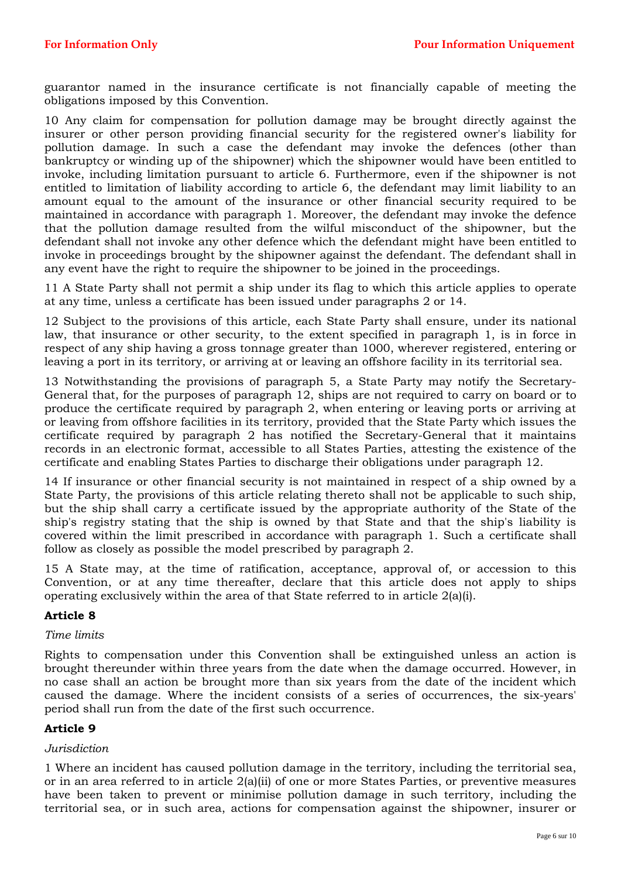guarantor named in the insurance certificate is not financially capable of meeting the obligations imposed by this Convention.

10 Any claim for compensation for pollution damage may be brought directly against the insurer or other person providing financial security for the registered owner's liability for pollution damage. In such a case the defendant may invoke the defences (other than bankruptcy or winding up of the shipowner) which the shipowner would have been entitled to invoke, including limitation pursuant to article 6. Furthermore, even if the shipowner is not entitled to limitation of liability according to article 6, the defendant may limit liability to an amount equal to the amount of the insurance or other financial security required to be maintained in accordance with paragraph 1. Moreover, the defendant may invoke the defence that the pollution damage resulted from the wilful misconduct of the shipowner, but the defendant shall not invoke any other defence which the defendant might have been entitled to invoke in proceedings brought by the shipowner against the defendant. The defendant shall in any event have the right to require the shipowner to be joined in the proceedings.

11 A State Party shall not permit a ship under its flag to which this article applies to operate at any time, unless a certificate has been issued under paragraphs 2 or 14.

12 Subject to the provisions of this article, each State Party shall ensure, under its national law, that insurance or other security, to the extent specified in paragraph 1, is in force in respect of any ship having a gross tonnage greater than 1000, wherever registered, entering or leaving a port in its territory, or arriving at or leaving an offshore facility in its territorial sea.

13 Notwithstanding the provisions of paragraph 5, a State Party may notify the Secretary-General that, for the purposes of paragraph 12, ships are not required to carry on board or to produce the certificate required by paragraph 2, when entering or leaving ports or arriving at or leaving from offshore facilities in its territory, provided that the State Party which issues the certificate required by paragraph 2 has notified the Secretary-General that it maintains records in an electronic format, accessible to all States Parties, attesting the existence of the certificate and enabling States Parties to discharge their obligations under paragraph 12.

14 If insurance or other financial security is not maintained in respect of a ship owned by a State Party, the provisions of this article relating thereto shall not be applicable to such ship, but the ship shall carry a certificate issued by the appropriate authority of the State of the ship's registry stating that the ship is owned by that State and that the ship's liability is covered within the limit prescribed in accordance with paragraph 1. Such a certificate shall follow as closely as possible the model prescribed by paragraph 2.

15 A State may, at the time of ratification, acceptance, approval of, or accession to this Convention, or at any time thereafter, declare that this article does not apply to ships operating exclusively within the area of that State referred to in article  $2(a)(i)$ .

# **Article 8**

### *Time limits*

Rights to compensation under this Convention shall be extinguished unless an action is brought thereunder within three years from the date when the damage occurred. However, in no case shall an action be brought more than six years from the date of the incident which caused the damage. Where the incident consists of a series of occurrences, the six-years' period shall run from the date of the first such occurrence.

# **Article 9**

### *Jurisdiction*

1 Where an incident has caused pollution damage in the territory, including the territorial sea, or in an area referred to in article 2(a)(ii) of one or more States Parties, or preventive measures have been taken to prevent or minimise pollution damage in such territory, including the territorial sea, or in such area, actions for compensation against the shipowner, insurer or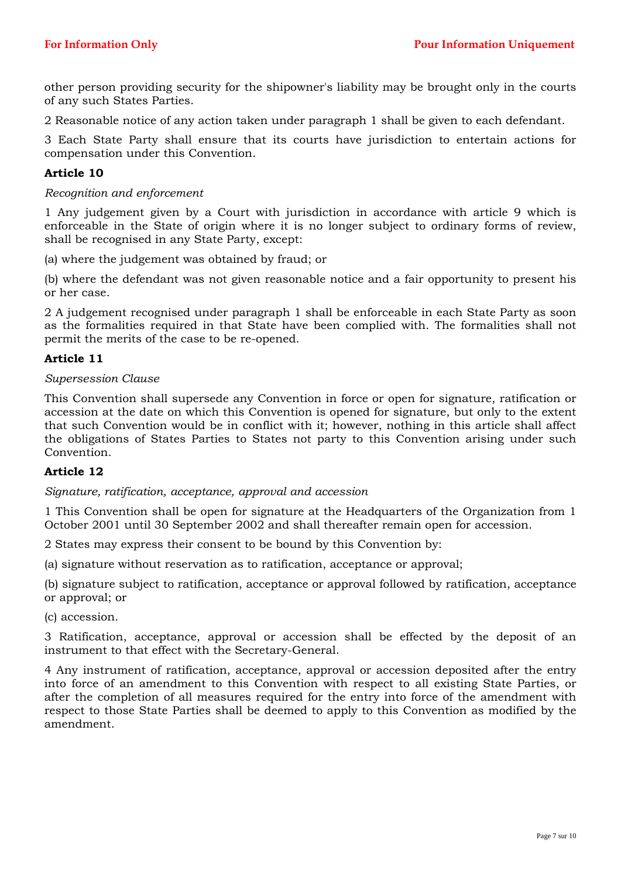other person providing security for the shipowner's liability may be brought only in the courts of any such States Parties.

2 Reasonable notice of any action taken under paragraph 1 shall be given to each defendant.

3 Each State Party shall ensure that its courts have jurisdiction to entertain actions for compensation under this Convention.

# **Article 10**

## *Recognition and enforcement*

1 Any judgement given by a Court with jurisdiction in accordance with article 9 which is enforceable in the State of origin where it is no longer subject to ordinary forms of review, shall be recognised in any State Party, except:

(a) where the judgement was obtained by fraud; or

(b) where the defendant was not given reasonable notice and a fair opportunity to present his or her case.

2 A judgement recognised under paragraph 1 shall be enforceable in each State Party as soon as the formalities required in that State have been complied with. The formalities shall not permit the merits of the case to be re-opened.

# **Article 11**

## *Supersession Clause*

This Convention shall supersede any Convention in force or open for signature, ratification or accession at the date on which this Convention is opened for signature, but only to the extent that such Convention would be in conflict with it; however, nothing in this article shall affect the obligations of States Parties to States not party to this Convention arising under such Convention.

# **Article 12**

### *Signature, ratification, acceptance, approval and accession*

1 This Convention shall be open for signature at the Headquarters of the Organization from 1 October 2001 until 30 September 2002 and shall thereafter remain open for accession.

2 States may express their consent to be bound by this Convention by:

(a) signature without reservation as to ratification, acceptance or approval;

(b) signature subject to ratification, acceptance or approval followed by ratification, acceptance or approval; or

(c) accession.

3 Ratification, acceptance, approval or accession shall be effected by the deposit of an instrument to that effect with the Secretary-General.

4 Any instrument of ratification, acceptance, approval or accession deposited after the entry into force of an amendment to this Convention with respect to all existing State Parties, or after the completion of all measures required for the entry into force of the amendment with respect to those State Parties shall be deemed to apply to this Convention as modified by the amendment.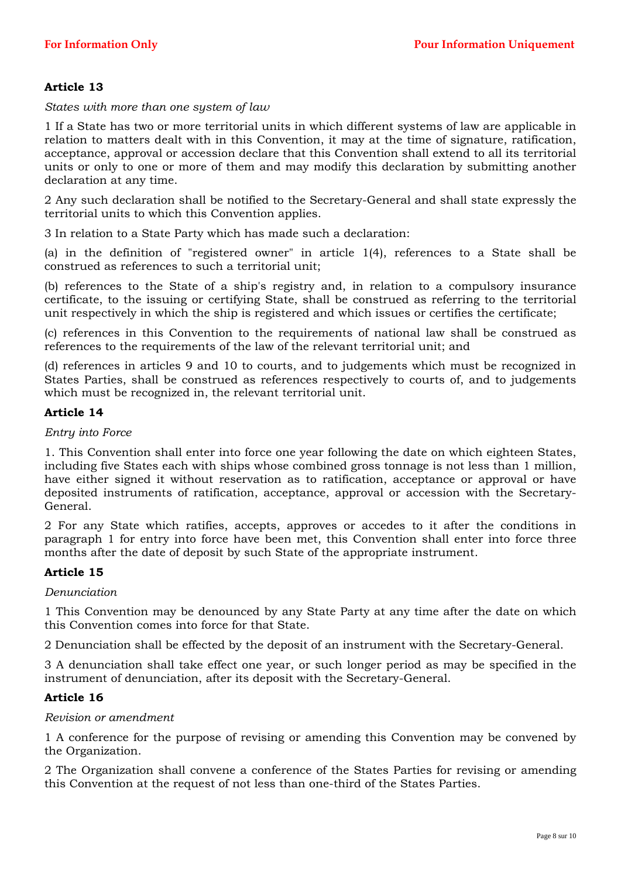# **Article 13**

*States with more than one system of law* 

1 If a State has two or more territorial units in which different systems of law are applicable in relation to matters dealt with in this Convention, it may at the time of signature, ratification, acceptance, approval or accession declare that this Convention shall extend to all its territorial units or only to one or more of them and may modify this declaration by submitting another declaration at any time.

2 Any such declaration shall be notified to the Secretary-General and shall state expressly the territorial units to which this Convention applies.

3 In relation to a State Party which has made such a declaration:

(a) in the definition of "registered owner" in article 1(4), references to a State shall be construed as references to such a territorial unit;

(b) references to the State of a ship's registry and, in relation to a compulsory insurance certificate, to the issuing or certifying State, shall be construed as referring to the territorial unit respectively in which the ship is registered and which issues or certifies the certificate;

(c) references in this Convention to the requirements of national law shall be construed as references to the requirements of the law of the relevant territorial unit; and

(d) references in articles 9 and 10 to courts, and to judgements which must be recognized in States Parties, shall be construed as references respectively to courts of, and to judgements which must be recognized in, the relevant territorial unit.

## **Article 14**

*Entry into Force* 

1. This Convention shall enter into force one year following the date on which eighteen States, including five States each with ships whose combined gross tonnage is not less than 1 million, have either signed it without reservation as to ratification, acceptance or approval or have deposited instruments of ratification, acceptance, approval or accession with the Secretary-General.

2 For any State which ratifies, accepts, approves or accedes to it after the conditions in paragraph 1 for entry into force have been met, this Convention shall enter into force three months after the date of deposit by such State of the appropriate instrument.

### **Article 15**

*Denunciation* 

1 This Convention may be denounced by any State Party at any time after the date on which this Convention comes into force for that State.

2 Denunciation shall be effected by the deposit of an instrument with the Secretary-General.

3 A denunciation shall take effect one year, or such longer period as may be specified in the instrument of denunciation, after its deposit with the Secretary-General.

### **Article 16**

### *Revision or amendment*

1 A conference for the purpose of revising or amending this Convention may be convened by the Organization.

2 The Organization shall convene a conference of the States Parties for revising or amending this Convention at the request of not less than one-third of the States Parties.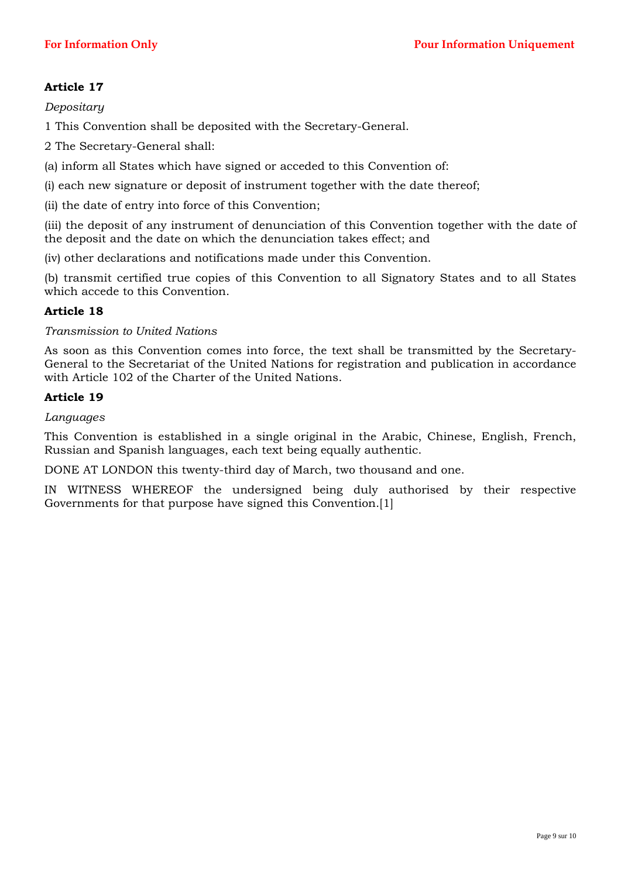# **Article 17**

*Depositary* 

1 This Convention shall be deposited with the Secretary-General.

2 The Secretary-General shall:

(a) inform all States which have signed or acceded to this Convention of:

(i) each new signature or deposit of instrument together with the date thereof;

(ii) the date of entry into force of this Convention;

(iii) the deposit of any instrument of denunciation of this Convention together with the date of the deposit and the date on which the denunciation takes effect; and

(iv) other declarations and notifications made under this Convention.

(b) transmit certified true copies of this Convention to all Signatory States and to all States which accede to this Convention.

# **Article 18**

*Transmission to United Nations* 

As soon as this Convention comes into force, the text shall be transmitted by the Secretary-General to the Secretariat of the United Nations for registration and publication in accordance with Article 102 of the Charter of the United Nations.

## **Article 19**

*Languages* 

This Convention is established in a single original in the Arabic, Chinese, English, French, Russian and Spanish languages, each text being equally authentic.

DONE AT LONDON this twenty-third day of March, two thousand and one.

IN WITNESS WHEREOF the undersigned being duly authorised by their respective Governments for that purpose have signed this Convention.[1]